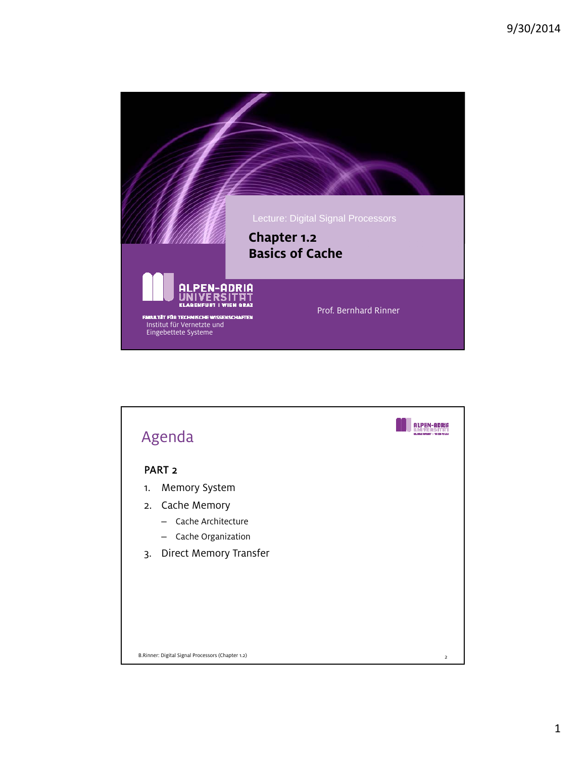

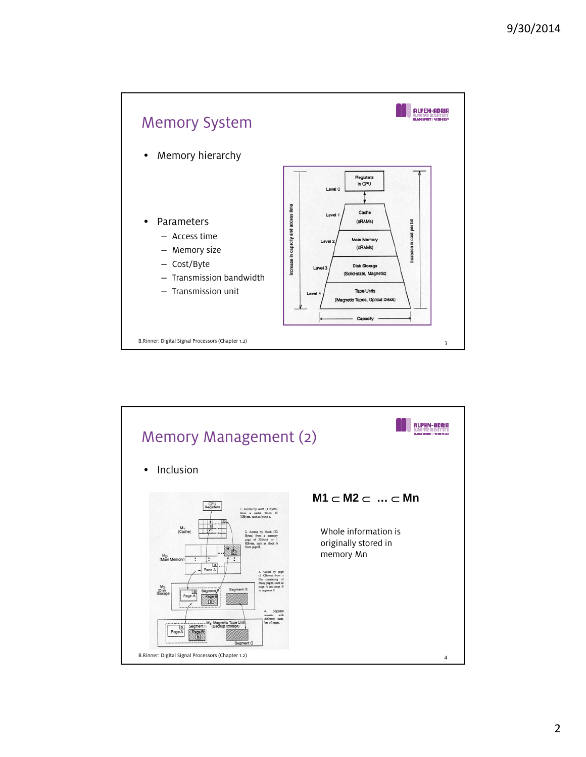

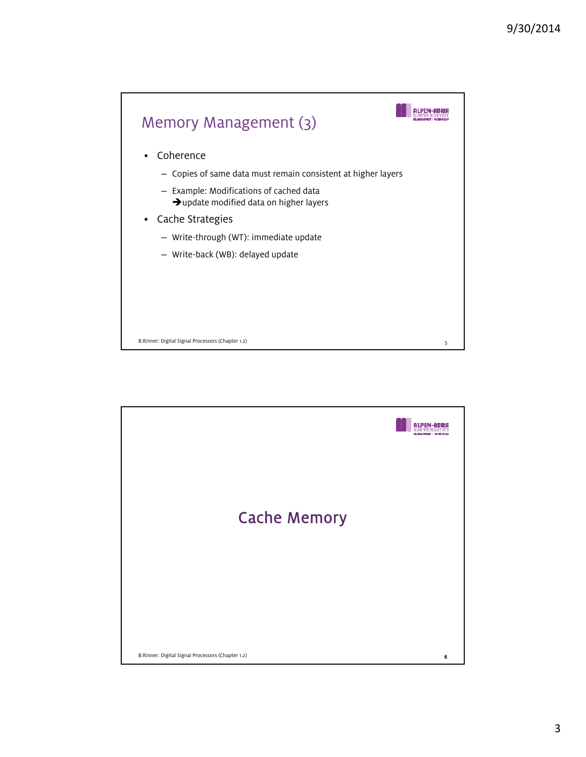

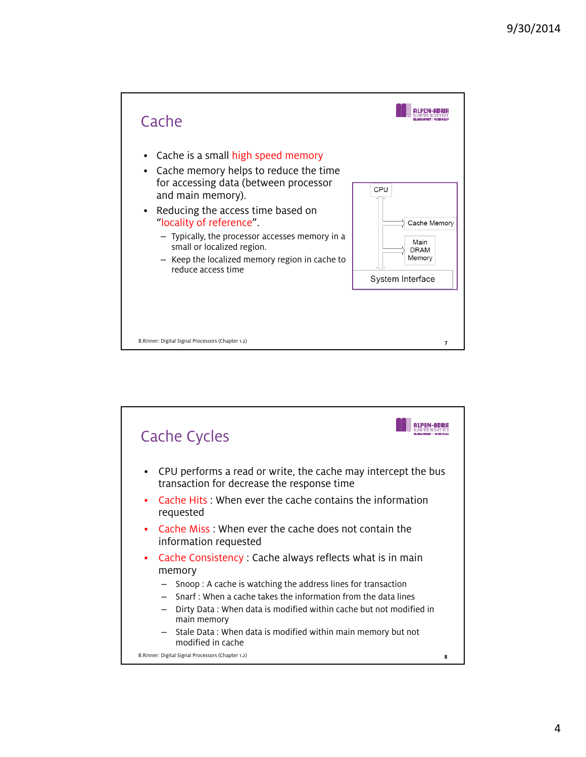



4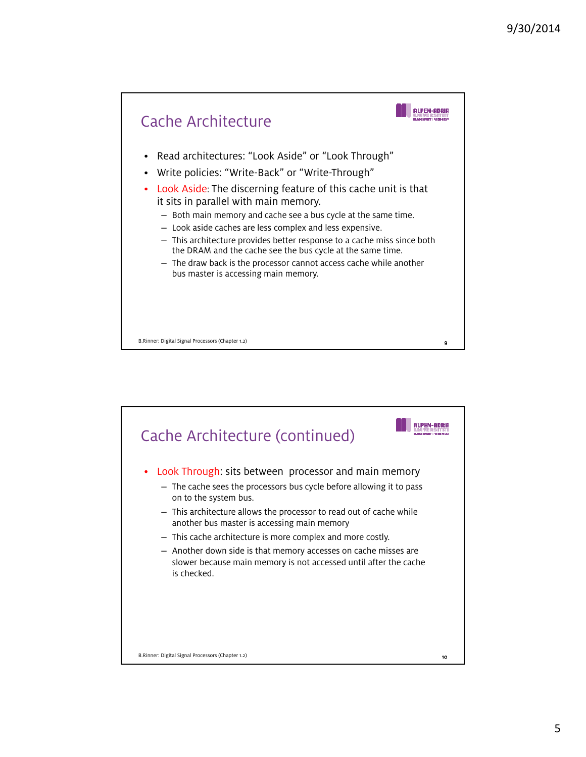

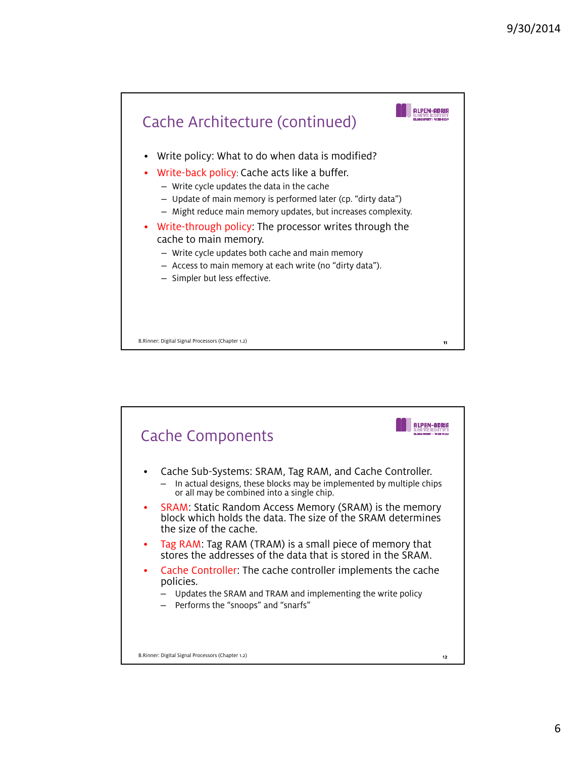

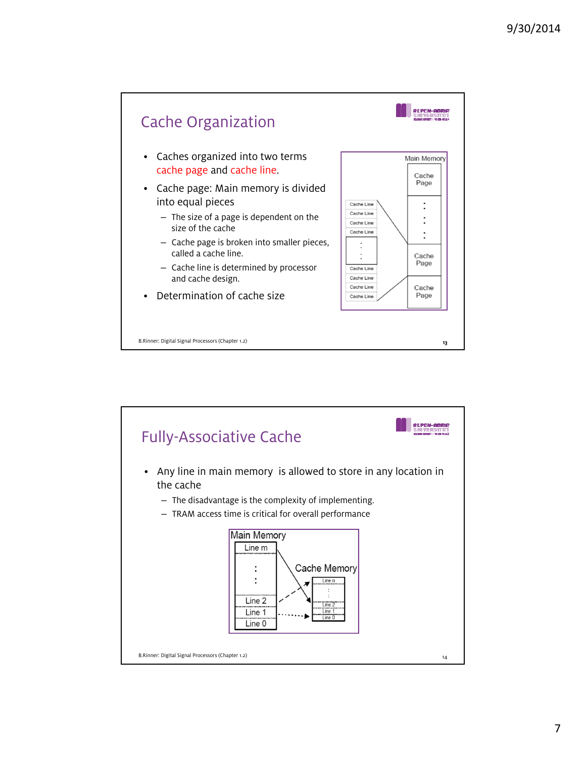



7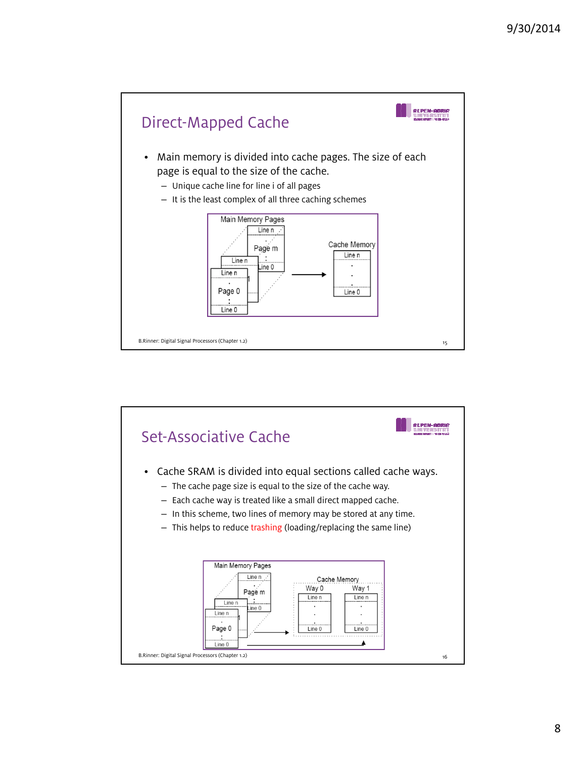

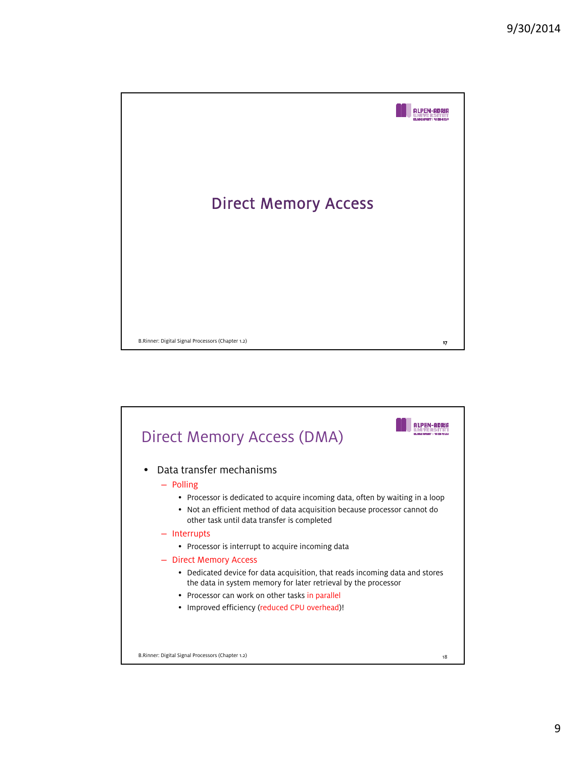

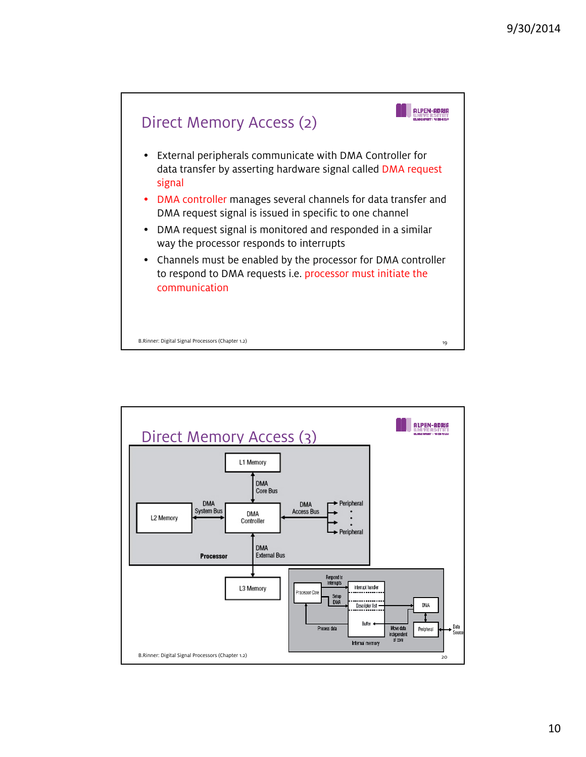

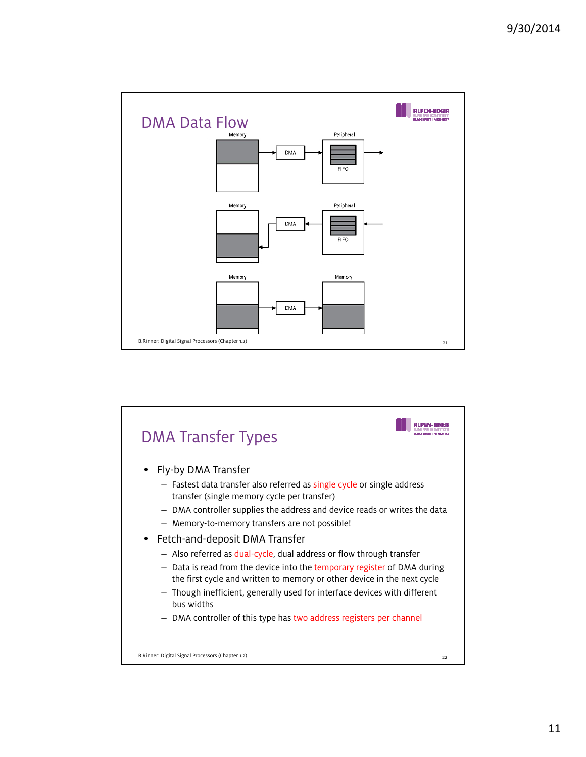